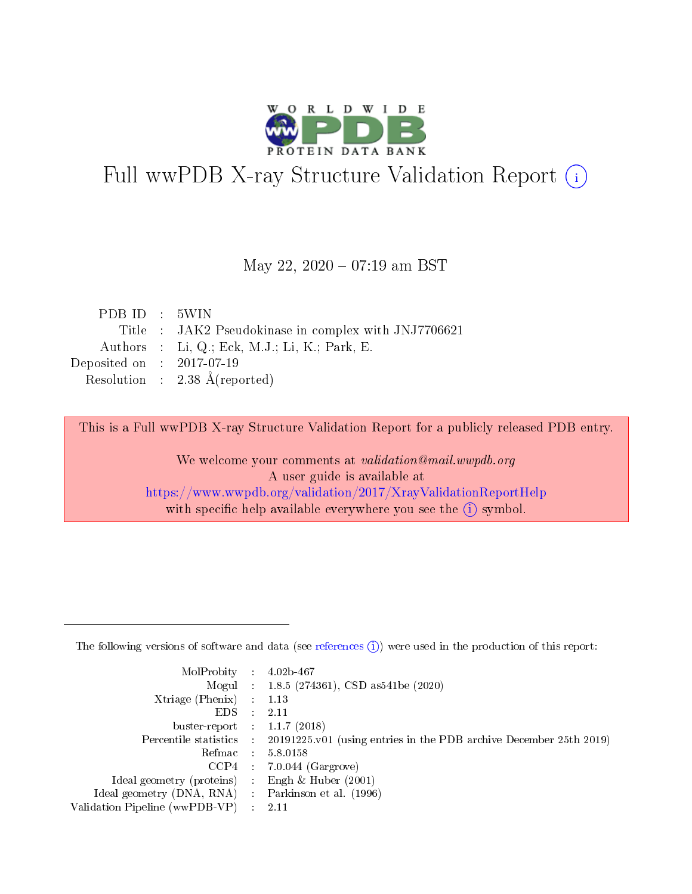

# Full wwPDB X-ray Structure Validation Report (i)

#### May 22, 2020 - 07:19 am BST

| PDB ID : 5WIN               |                                                      |
|-----------------------------|------------------------------------------------------|
|                             | Title : JAK2 Pseudokinase in complex with JNJ7706621 |
|                             | Authors : Li, Q.; Eck, M.J.; Li, K.; Park, E.        |
| Deposited on : $2017-07-19$ |                                                      |
|                             | Resolution : 2.38 $\AA$ (reported)                   |

This is a Full wwPDB X-ray Structure Validation Report for a publicly released PDB entry.

We welcome your comments at validation@mail.wwpdb.org A user guide is available at <https://www.wwpdb.org/validation/2017/XrayValidationReportHelp> with specific help available everywhere you see the  $(i)$  symbol.

The following versions of software and data (see [references](https://www.wwpdb.org/validation/2017/XrayValidationReportHelp#references)  $(1)$ ) were used in the production of this report:

| MolProbity :                   |               | $4.02b - 467$                                                               |
|--------------------------------|---------------|-----------------------------------------------------------------------------|
|                                |               | Mogul : $1.8.5$ (274361), CSD as 541be (2020)                               |
| $X$ triage (Phenix) :          |               | 1.13                                                                        |
| EDS.                           |               | 2.11                                                                        |
| buster-report : $1.1.7$ (2018) |               |                                                                             |
| Percentile statistics :        |               | $20191225 \text{v}01$ (using entries in the PDB archive December 25th 2019) |
| Refmac :                       |               | 5.8.0158                                                                    |
| $CCP4$ :                       |               | $7.0.044$ (Gargrove)                                                        |
| Ideal geometry (proteins) :    |               | Engh $\&$ Huber (2001)                                                      |
| Ideal geometry (DNA, RNA) :    |               | Parkinson et al. (1996)                                                     |
| Validation Pipeline (wwPDB-VP) | $\mathcal{L}$ | 2.11                                                                        |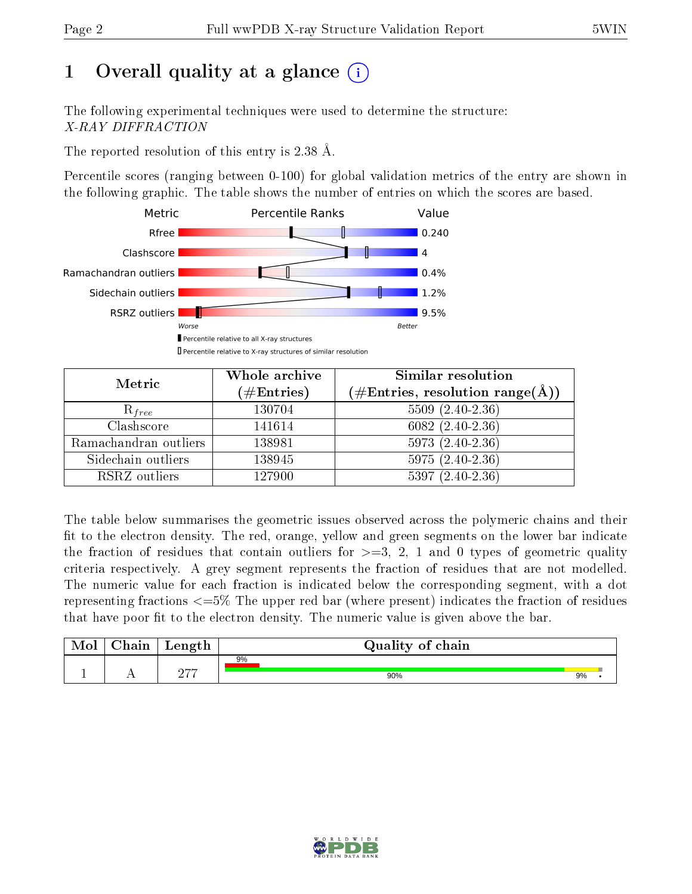# 1 [O](https://www.wwpdb.org/validation/2017/XrayValidationReportHelp#overall_quality)verall quality at a glance  $(i)$

The following experimental techniques were used to determine the structure: X-RAY DIFFRACTION

The reported resolution of this entry is 2.38 Å.

Percentile scores (ranging between 0-100) for global validation metrics of the entry are shown in the following graphic. The table shows the number of entries on which the scores are based.



| Metric                | Whole archive<br>$(\#\mathrm{Entries})$ | Similar resolution<br>$(\#\text{Entries},\,\text{resolution}\,\,\text{range}(\textup{\AA}))$ |
|-----------------------|-----------------------------------------|----------------------------------------------------------------------------------------------|
| $R_{free}$            | 130704                                  | $5509(2.40-2.36)$                                                                            |
| Clashscore            | 141614                                  | $6082(2.40-2.36)$                                                                            |
| Ramachandran outliers | 138981                                  | $5973(2.40-2.36)$                                                                            |
| Sidechain outliers    | 138945                                  | $5975(2.40-2.36)$                                                                            |
| RSRZ outliers         | 127900                                  | $5397(2.40-2.36)$                                                                            |

The table below summarises the geometric issues observed across the polymeric chains and their fit to the electron density. The red, orange, yellow and green segments on the lower bar indicate the fraction of residues that contain outliers for  $>=3, 2, 1$  and 0 types of geometric quality criteria respectively. A grey segment represents the fraction of residues that are not modelled. The numeric value for each fraction is indicated below the corresponding segment, with a dot representing fractions <=5% The upper red bar (where present) indicates the fraction of residues that have poor fit to the electron density. The numeric value is given above the bar.

| Mol | $\cap$ hain | Length | Quality of chain |    |  |
|-----|-------------|--------|------------------|----|--|
|     |             |        | 9%               |    |  |
|     |             | חהמ    | 90%              | 9% |  |

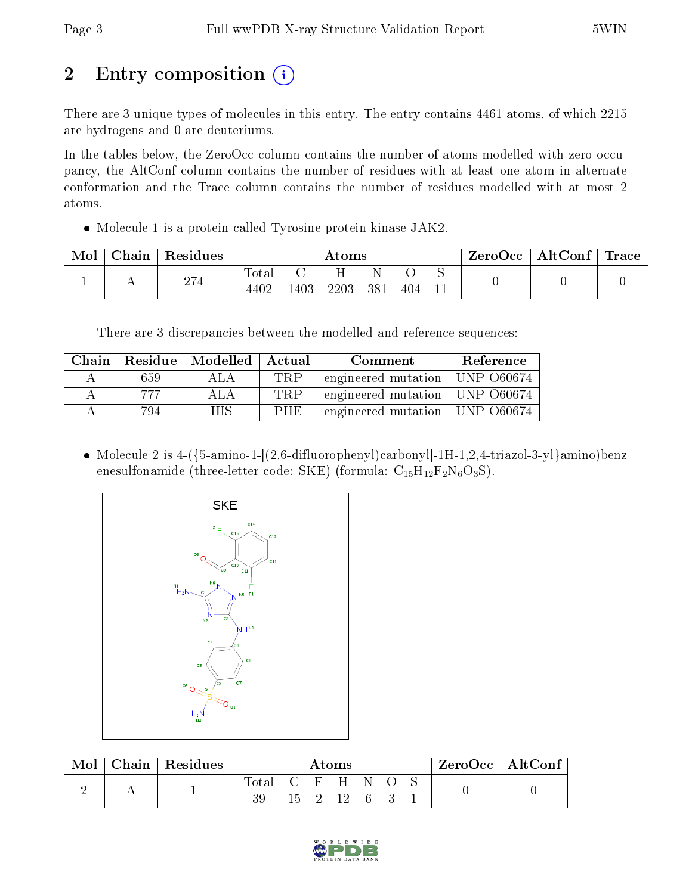# 2 Entry composition  $\left( \cdot \right)$

There are 3 unique types of molecules in this entry. The entry contains 4461 atoms, of which 2215 are hydrogens and 0 are deuteriums.

In the tables below, the ZeroOcc column contains the number of atoms modelled with zero occupancy, the AltConf column contains the number of residues with at least one atom in alternate conformation and the Trace column contains the number of residues modelled with at most 2 atoms.

Molecule 1 is a protein called Tyrosine-protein kinase JAK2.

| Mol | Chain | Residues | Atoms                        |      |      |     |     | ZeroOcc   AltConf   Trace |  |  |
|-----|-------|----------|------------------------------|------|------|-----|-----|---------------------------|--|--|
|     |       | 274      | $\rm Total$<br>$440^{\circ}$ | .403 | 2203 | 381 | 404 |                           |  |  |

There are 3 discrepancies between the modelled and reference sequences:

| Chain |     | Residue   Modelled   Actual |            | Comment             | Reference    |
|-------|-----|-----------------------------|------------|---------------------|--------------|
|       | 659 | $A \cup A$                  | TRP        | engineered mutation | UNP 060674   |
|       | 777 | ALA                         | TRP        | engineered mutation | UNP 060674   |
|       | 794 | НIS                         | <b>PHE</b> | engineered mutation | † UNP 060674 |

• Molecule 2 is  $4-(5-$ amino-1- $[(2,6-$ difluorophenyl $)$ carbonyl $]-1H-1,2,4-$ triazol-3-yl $\}$ amino $)$ benz enesulfonamide (three-letter code: SKE) (formula:  $C_{15}H_{12}F_2N_6O_3S$ ).



| Mol | ${\bf Chain \mid Residues}$ | Atoms |     |             |      | $ZeroOcc \   \ AltConf$ |  |  |  |
|-----|-----------------------------|-------|-----|-------------|------|-------------------------|--|--|--|
|     |                             |       |     | $C$ $F$ $H$ |      | N.                      |  |  |  |
|     |                             | 39    | 15. |             | 2 12 | - 6                     |  |  |  |

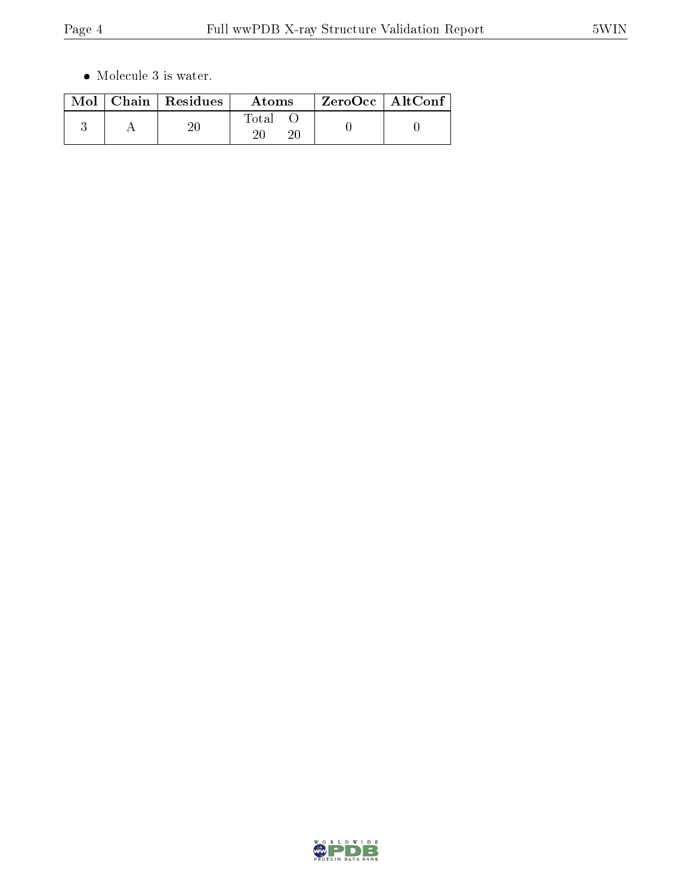$\bullet\,$  Molecule 3 is water.

|  | $Mol$   Chain   Residues | Atoms | $ZeroOcc \   \ AltConf \  $ |
|--|--------------------------|-------|-----------------------------|
|  |                          | Total |                             |

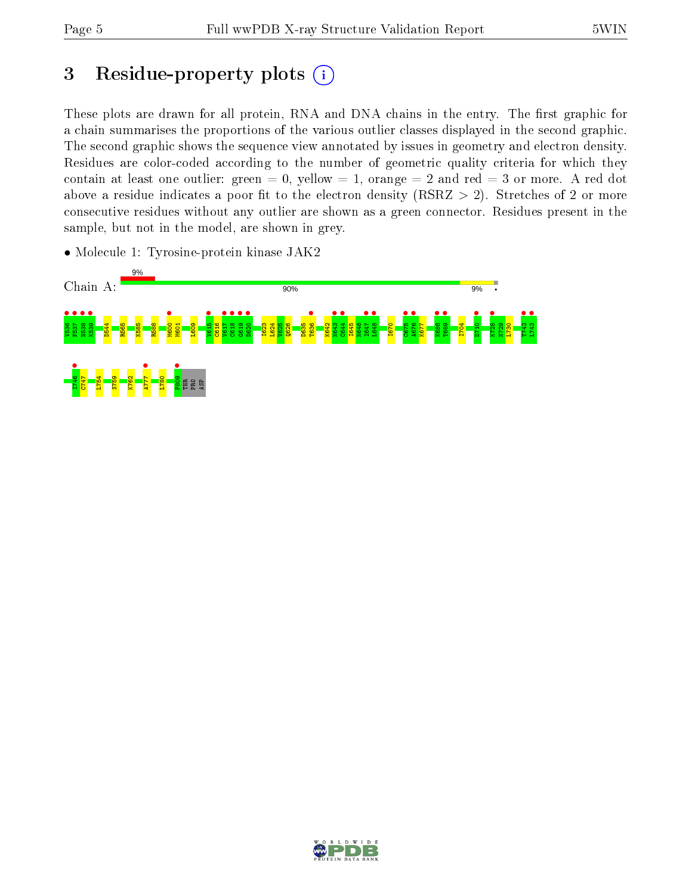# 3 Residue-property plots  $(i)$

These plots are drawn for all protein, RNA and DNA chains in the entry. The first graphic for a chain summarises the proportions of the various outlier classes displayed in the second graphic. The second graphic shows the sequence view annotated by issues in geometry and electron density. Residues are color-coded according to the number of geometric quality criteria for which they contain at least one outlier: green  $= 0$ , yellow  $= 1$ , orange  $= 2$  and red  $= 3$  or more. A red dot above a residue indicates a poor fit to the electron density (RSRZ  $> 2$ ). Stretches of 2 or more consecutive residues without any outlier are shown as a green connector. Residues present in the sample, but not in the model, are shown in grey.



• Molecule 1: Tyrosine-protein kinase JAK2

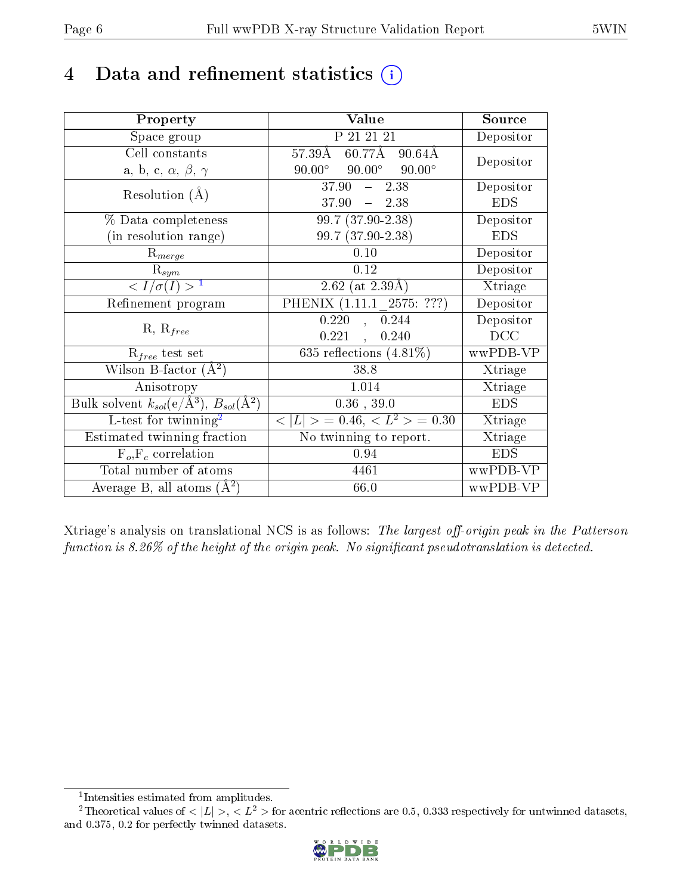## 4 Data and refinement statistics  $(i)$

| Property                                                         | Value                                             | Source     |
|------------------------------------------------------------------|---------------------------------------------------|------------|
| Space group                                                      | P 21 21 21                                        | Depositor  |
| Cell constants                                                   | $60.77A$ 90.64Å<br>57.39Å                         | Depositor  |
| a, b, c, $\alpha$ , $\beta$ , $\gamma$                           | $90.00^\circ$<br>$90.00^{\circ}$<br>$90.00^\circ$ |            |
| Resolution $(A)$                                                 | $-2.38$<br>37.90                                  | Depositor  |
|                                                                  | $37.90 = 2.38$                                    | <b>EDS</b> |
| $\%$ Data completeness                                           | $99.7(37.90-2.38)$                                | Depositor  |
| (in resolution range)                                            | 99.7 (37.90-2.38)                                 | <b>EDS</b> |
| $R_{merge}$                                                      | 0.10                                              | Depositor  |
| $\mathrm{R}_{sym}$                                               | 0.12                                              | Depositor  |
| $\langle I/\sigma(I) \rangle^{-1}$                               | 2.62 (at $2.39\text{\AA}$ )                       | Xtriage    |
| Refinement program                                               | PHENIX (1.11.1 2575: ???)                         | Depositor  |
|                                                                  | 0.220<br>, 0.244                                  | Depositor  |
| $R, R_{free}$                                                    | 0.221<br>0.240<br>$\ddot{\phantom{a}}$            | DCC        |
| $R_{free}$ test set                                              | 635 reflections $(4.81\%)$                        | wwPDB-VP   |
| Wilson B-factor $(A^2)$                                          | 38.8                                              | Xtriage    |
| Anisotropy                                                       | 1.014                                             | Xtriage    |
| Bulk solvent $k_{sol}(\text{e}/\text{A}^3), B_{sol}(\text{A}^2)$ | $0.36$ , 39.0                                     | <b>EDS</b> |
| L-test for $\mathrm{twinning}^2$                                 | $< L >$ = 0.46, $< L2 >$ = 0.30                   | Xtriage    |
| Estimated twinning fraction                                      | No twinning to report.                            | Xtriage    |
| $\overline{F_o}, \overline{F_c}$ correlation                     | 0.94                                              | <b>EDS</b> |
| Total number of atoms                                            | 4461                                              | wwPDB-VP   |
| Average B, all atoms $(A^2)$                                     | 66.0                                              | wwPDB-VP   |

Xtriage's analysis on translational NCS is as follows: The largest off-origin peak in the Patterson function is  $8.26\%$  of the height of the origin peak. No significant pseudotranslation is detected.

<sup>&</sup>lt;sup>2</sup>Theoretical values of  $\langle |L| \rangle$ ,  $\langle L^2 \rangle$  for acentric reflections are 0.5, 0.333 respectively for untwinned datasets, and 0.375, 0.2 for perfectly twinned datasets.



<span id="page-5-1"></span><span id="page-5-0"></span><sup>1</sup> Intensities estimated from amplitudes.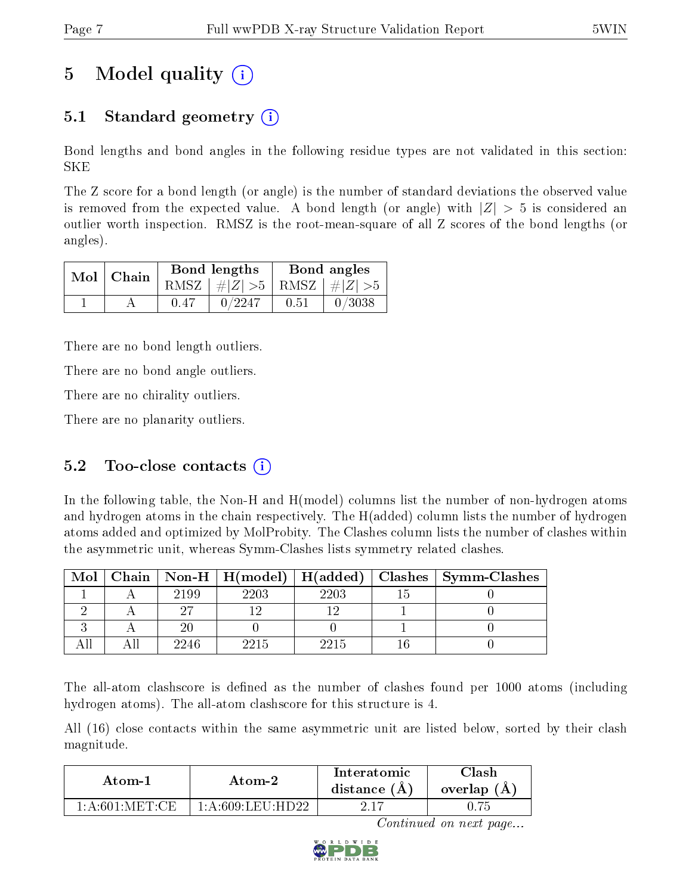# 5 Model quality  $(i)$

### 5.1 Standard geometry  $\overline{()}$

Bond lengths and bond angles in the following residue types are not validated in this section: SKE

The Z score for a bond length (or angle) is the number of standard deviations the observed value is removed from the expected value. A bond length (or angle) with  $|Z| > 5$  is considered an outlier worth inspection. RMSZ is the root-mean-square of all Z scores of the bond lengths (or angles).

| $Mol$   Chain | Bond lengths |                                 | Bond angles |        |
|---------------|--------------|---------------------------------|-------------|--------|
|               |              | RMSZ $ #Z  > 5$ RMSZ $ #Z  > 5$ |             |        |
|               | 0.47         | 0/2247                          | 0.51        | 0/3038 |

There are no bond length outliers.

There are no bond angle outliers.

There are no chirality outliers.

There are no planarity outliers.

#### 5.2 Too-close contacts  $(i)$

In the following table, the Non-H and H(model) columns list the number of non-hydrogen atoms and hydrogen atoms in the chain respectively. The H(added) column lists the number of hydrogen atoms added and optimized by MolProbity. The Clashes column lists the number of clashes within the asymmetric unit, whereas Symm-Clashes lists symmetry related clashes.

| Mol |      |      |      | Chain   Non-H   H(model)   H(added)   Clashes   Symm-Clashes |
|-----|------|------|------|--------------------------------------------------------------|
|     | 2199 | 2203 | 2203 |                                                              |
|     |      |      |      |                                                              |
|     |      |      |      |                                                              |
|     | 2246 | 2215 | 2215 |                                                              |

The all-atom clashscore is defined as the number of clashes found per 1000 atoms (including hydrogen atoms). The all-atom clashscore for this structure is 4.

All (16) close contacts within the same asymmetric unit are listed below, sorted by their clash magnitude.

| Atom-2             |                   | Interatomic    | Clash       |
|--------------------|-------------------|----------------|-------------|
| Atom-1             |                   | distance $(A)$ | overlap (A) |
| $1:$ A:601: MET:CE | 1 A 609 LEU HD 22 | 2.17           |             |

Continued on next page...

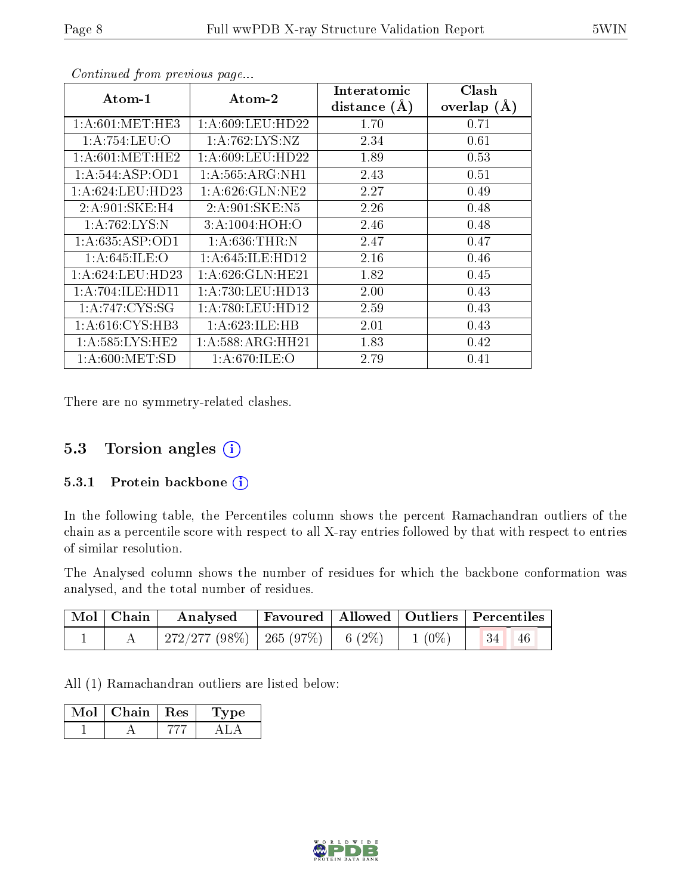| $\boldsymbol{\mathrm{Atom}\text{-}1}$ | Atom-2              | $\operatorname{Interatomic}$ | Clash         |
|---------------------------------------|---------------------|------------------------------|---------------|
|                                       |                     | distance $(A)$               | overlap $(A)$ |
| 1: A:601: MET:HE3                     | 1: A:609: LEU:HD22  | 1.70                         | 0.71          |
| 1:A:754:LEU:O                         | 1:A:762:LYS:NZ      | 2.34                         | 0.61          |
| 1: A:601: MET:HE2                     | 1: A:609:LEU:HD22   | 1.89                         | 0.53          |
| 1: A:544: ASP:OD1                     | 1: A: 565: ARG: NH1 | 2.43                         | 0.51          |
| 1: A:624:LEU:HD23                     | 1: A:626: GLN: NE2  | 2.27                         | 0.49          |
| 2: A:901:SKE: H4                      | 2: A:901:SKE: N5    | 2.26                         | 0.48          |
| 1:A:762:LYS:N                         | 3:A:1004:HOH:O      | 2.46                         | 0.48          |
| 1: A:635: ASP:OD1                     | 1: A:636:THR:N      | 2.47                         | 0.47          |
| 1: A:645: ILE: O                      | 1: A:645: ILE: HD12 | 2.16                         | 0.46          |
| 1: A:624:LEU:HD23                     | 1: A:626: GLN: HE21 | 1.82                         | 0.45          |
| 1: A:704: ILE: HDI1                   | 1: A:730:LEU:HD13   | 2.00                         | 0.43          |
| 1:A:747:CYS:SG                        | 1: A:780:LEU:HD12   | 2.59                         | 0.43          |
| 1: A:616: CYS:HB3                     | 1: A:623: ILE: HB   | 2.01                         | 0.43          |
| 1: A:585:LYS:HE2                      | 1:A:588:ARG:HH21    | 1.83                         | 0.42          |
| 1: A:600:MET:SD                       | 1: A:670: ILE: O    | 2.79                         | 0.41          |

Continued from previous page...

There are no symmetry-related clashes.

### 5.3 Torsion angles (i)

#### 5.3.1 Protein backbone (i)

In the following table, the Percentiles column shows the percent Ramachandran outliers of the chain as a percentile score with respect to all X-ray entries followed by that with respect to entries of similar resolution.

The Analysed column shows the number of residues for which the backbone conformation was analysed, and the total number of residues.

| Mol   Chain | Analysed Favoured   Allowed   Outliers   Percentiles  |  |  |
|-------------|-------------------------------------------------------|--|--|
|             | 272/277 (98%)   265 (97%)   6 (2%)   1 (0%)   34   46 |  |  |

All (1) Ramachandran outliers are listed below:

| Mol | Chain   Res | Lype |
|-----|-------------|------|
|     |             |      |

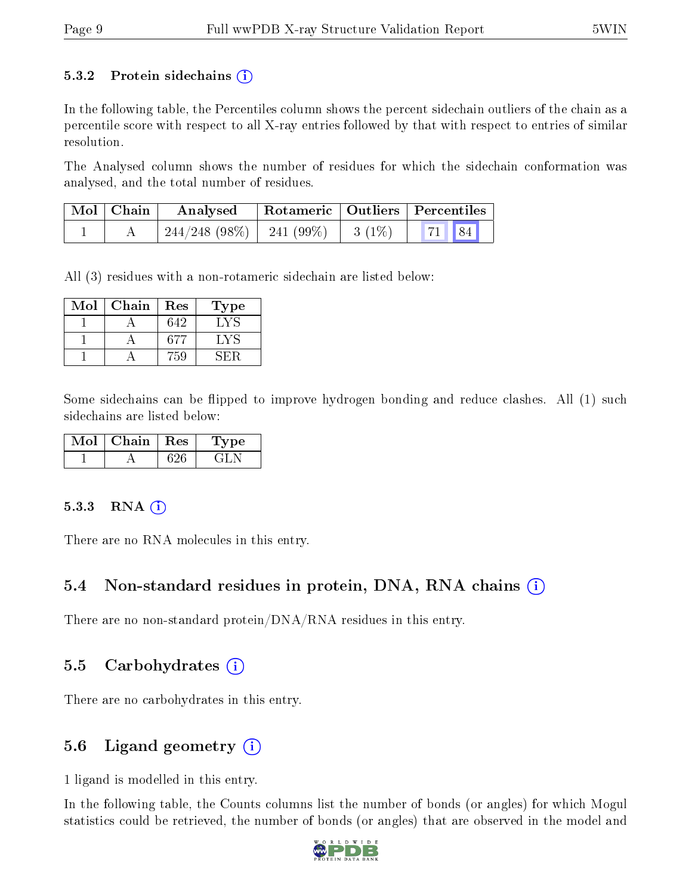#### 5.3.2 Protein sidechains  $(i)$

In the following table, the Percentiles column shows the percent sidechain outliers of the chain as a percentile score with respect to all X-ray entries followed by that with respect to entries of similar resolution.

The Analysed column shows the number of residues for which the sidechain conformation was analysed, and the total number of residues.

| $\mid$ Mol $\mid$ Chain | Analysed                                | Rotameric   Outliers   Percentiles |                |  |
|-------------------------|-----------------------------------------|------------------------------------|----------------|--|
|                         | $244/248$ (98\%)   241 (99\%)   3 (1\%) |                                    | $\mid$ 71   84 |  |

All (3) residues with a non-rotameric sidechain are listed below:

| $\operatorname{Mol}$ | Chain | Res | Type |
|----------------------|-------|-----|------|
|                      |       | 642 |      |
|                      |       | 677 |      |
|                      |       | '50 |      |

Some sidechains can be flipped to improve hydrogen bonding and reduce clashes. All (1) such sidechains are listed below:

| Chain | $\pm$ Res $\pm$ | Lype |
|-------|-----------------|------|
|       |                 |      |

#### 5.3.3 RNA [O](https://www.wwpdb.org/validation/2017/XrayValidationReportHelp#rna)i

There are no RNA molecules in this entry.

#### 5.4 Non-standard residues in protein, DNA, RNA chains (i)

There are no non-standard protein/DNA/RNA residues in this entry.

#### 5.5 Carbohydrates  $(i)$

There are no carbohydrates in this entry.

#### 5.6 Ligand geometry  $(i)$

1 ligand is modelled in this entry.

In the following table, the Counts columns list the number of bonds (or angles) for which Mogul statistics could be retrieved, the number of bonds (or angles) that are observed in the model and

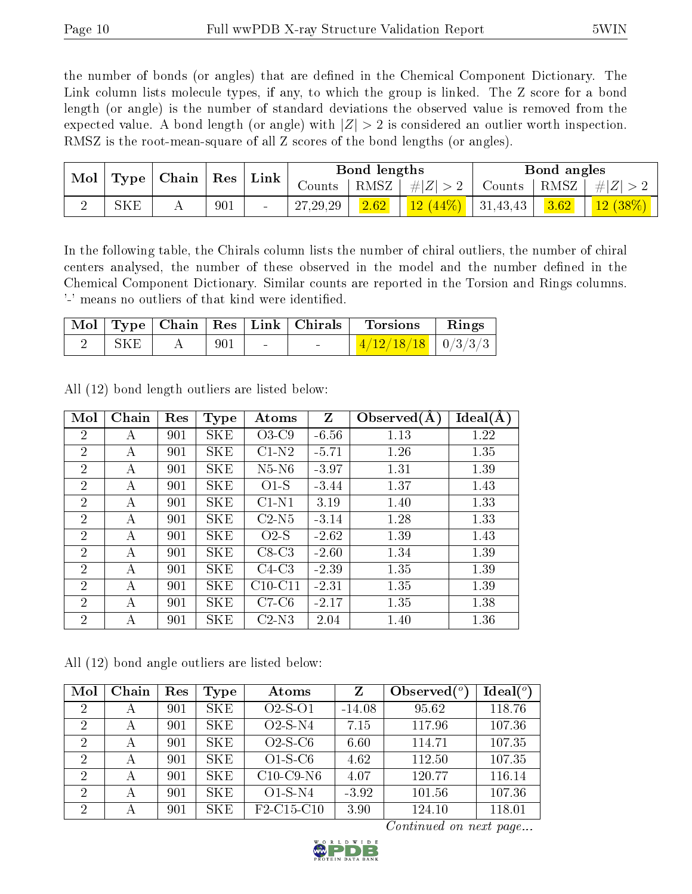the number of bonds (or angles) that are defined in the Chemical Component Dictionary. The Link column lists molecule types, if any, to which the group is linked. The Z score for a bond length (or angle) is the number of standard deviations the observed value is removed from the expected value. A bond length (or angle) with  $|Z| > 2$  is considered an outlier worth inspection. RMSZ is the root-mean-square of all Z scores of the bond lengths (or angles).

| $\bf{Mol}$ | $\mid$ Type $\mid$ | $\vert$ Chain |     | $\perp$ $\rm Res \perp$ Link $\perp$ |            | Bond lengths |                     |        | Bond angles |                |
|------------|--------------------|---------------|-----|--------------------------------------|------------|--------------|---------------------|--------|-------------|----------------|
|            |                    |               |     |                                      | Counts     | RMSZ         | $\# Z  > 2$         | Counts | RMSZ        | $\# Z >$       |
|            | SKE                |               | 901 | $\sim$                               | 27, 29, 29 | 2.62         | $12(44\%)$ 31,43,43 |        | 3.62        | $(12 \ (38\%)$ |

In the following table, the Chirals column lists the number of chiral outliers, the number of chiral centers analysed, the number of these observed in the model and the number defined in the Chemical Component Dictionary. Similar counts are reported in the Torsion and Rings columns. '-' means no outliers of that kind were identified.

|     |     | Mol   Type   Chain   Res   Link   Chirals | ' Torsions             | $\parallel$ Rings |
|-----|-----|-------------------------------------------|------------------------|-------------------|
| SKE | 901 |                                           | $1/12/18/18$   0/3/3/3 |                   |

| Mol            | Chain | Res | <b>Type</b> | Atoms     | Z       | Observed $(A)$ | Ideal(A) |
|----------------|-------|-----|-------------|-----------|---------|----------------|----------|
| $\overline{2}$ | А     | 901 | <b>SKE</b>  | $O3-C9$   | $-6.56$ | 1.13           | 1.22     |
| $\overline{2}$ | А     | 901 | <b>SKE</b>  | $C1-N2$   | $-5.71$ | 1.26           | 1.35     |
| $\overline{2}$ | A     | 901 | SKE         | $N5-N6$   | $-3.97$ | 1.31           | 1.39     |
| 2              | А     | 901 | SKE         | $O1-S$    | $-3.44$ | 1.37           | 1.43     |
| $\overline{2}$ | А     | 901 | <b>SKE</b>  | $C1-N1$   | 3.19    | 1.40           | 1.33     |
| $\overline{2}$ | А     | 901 | <b>SKE</b>  | $C2-N5$   | $-3.14$ | 1.28           | 1.33     |
| $\overline{2}$ | А     | 901 | SKE         | $O2-S$    | $-2.62$ | 1.39           | 1.43     |
| $\overline{2}$ | А     | 901 | SKE         | $C8-C3$   | $-2.60$ | 1.34           | 1.39     |
| $\overline{2}$ | А     | 901 | <b>SKE</b>  | $C4-C3$   | $-2.39$ | 1.35           | 1.39     |
| $\overline{2}$ | А     | 901 | SKE         | $C10-C11$ | $-2.31$ | 1.35           | 1.39     |
| $\overline{2}$ | А     | 901 | <b>SKE</b>  | $C7-C6$   | $-2.17$ | 1.35           | 1.38     |
| $\overline{2}$ | А     | 901 | SKE         | $C2-N3$   | 2.04    | 1.40           | 1.36     |

All (12) bond length outliers are listed below:

All (12) bond angle outliers are listed below:

| Mol            | Chain | Res | <b>Type</b> | Atoms                                            | Z        | Observed $(^\circ)$ | $\text{Ideal}({}^o)$ |
|----------------|-------|-----|-------------|--------------------------------------------------|----------|---------------------|----------------------|
| 2              | А     | 901 | <b>SKE</b>  | $O2-S-O1$                                        | $-14.08$ | 95.62               | 118.76               |
| 2              | А     | 901 | <b>SKE</b>  | $O2-S-N4$                                        | 7.15     | 117.96              | 107.36               |
| 2              | А     | 901 | SKE.        | $O2-S-C6$                                        | 6.60     | 114.71              | 107.35               |
| 2              | А     | 901 | <b>SKE</b>  | $O1-S-C6$                                        | 4.62     | 112.50              | 107.35               |
| $\overline{2}$ | А     | 901 | <b>SKE</b>  | $C10$ -C9-N6                                     | 4.07     | 120.77              | 116.14               |
| $\overline{2}$ | А     | 901 | <b>SKE</b>  | $O1-S-N4$                                        | $-3.92$  | 101.56              | 107.36               |
| $\overline{2}$ | А     | 901 | <b>SKE</b>  | F <sub>2</sub> -C <sub>15</sub> -C <sub>10</sub> | 3.90     | 124.10              | 118.01               |

Continued on next page...

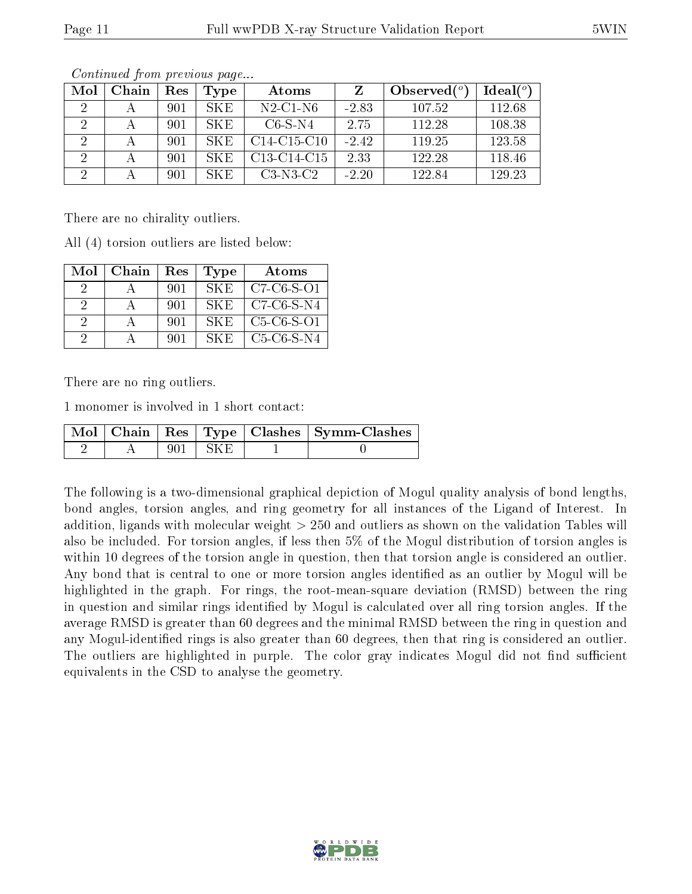| Mol | Chain | Res | Type       | Atoms                                             |         | Observed $(°)$ | $\text{Ideal}({}^o)$ |
|-----|-------|-----|------------|---------------------------------------------------|---------|----------------|----------------------|
|     |       | 901 | SKE.       | $N2$ -C1-N6                                       | $-2.83$ | 107.52         | 112.68               |
|     |       | 901 | SKE.       | $C6-S-N4$                                         | 2.75    | 112.28         | 108.38               |
|     |       | 901 | <b>SKE</b> | $C14-C15-C10$                                     | $-2.42$ | 119.25         | 123.58               |
| റ   |       | 901 | SKE.       | C <sub>13</sub> -C <sub>14</sub> -C <sub>15</sub> | 2.33    | 122.28         | 118.46               |
| റ   |       | 901 | SK E       | $C3-N3-C2$                                        | $-2.20$ | 122.84         | 129.23               |

Continued from previous page...

There are no chirality outliers.

All (4) torsion outliers are listed below:

| Mol           | Chain | Res | <b>Type</b> | Atoms        |
|---------------|-------|-----|-------------|--------------|
| $\mathcal{D}$ |       | 901 | SK E        | $C7-C6-S-O1$ |
| 9             |       | 901 | -SK E       | $C7-C6-S-N4$ |
| 9             |       | 901 | SK E        | $C5-C6-S-O1$ |
|               |       | 901 | SK E        | $C5-C6-S-N4$ |

There are no ring outliers.

1 monomer is involved in 1 short contact:

|  |       |           | Mol   Chain   Res   Type   Clashes   Symm-Clashes |
|--|-------|-----------|---------------------------------------------------|
|  | 901 - | - FSK Fil |                                                   |

The following is a two-dimensional graphical depiction of Mogul quality analysis of bond lengths, bond angles, torsion angles, and ring geometry for all instances of the Ligand of Interest. In addition, ligands with molecular weight > 250 and outliers as shown on the validation Tables will also be included. For torsion angles, if less then 5% of the Mogul distribution of torsion angles is within 10 degrees of the torsion angle in question, then that torsion angle is considered an outlier. Any bond that is central to one or more torsion angles identified as an outlier by Mogul will be highlighted in the graph. For rings, the root-mean-square deviation (RMSD) between the ring in question and similar rings identified by Mogul is calculated over all ring torsion angles. If the average RMSD is greater than 60 degrees and the minimal RMSD between the ring in question and any Mogul-identified rings is also greater than 60 degrees, then that ring is considered an outlier. The outliers are highlighted in purple. The color gray indicates Mogul did not find sufficient equivalents in the CSD to analyse the geometry.

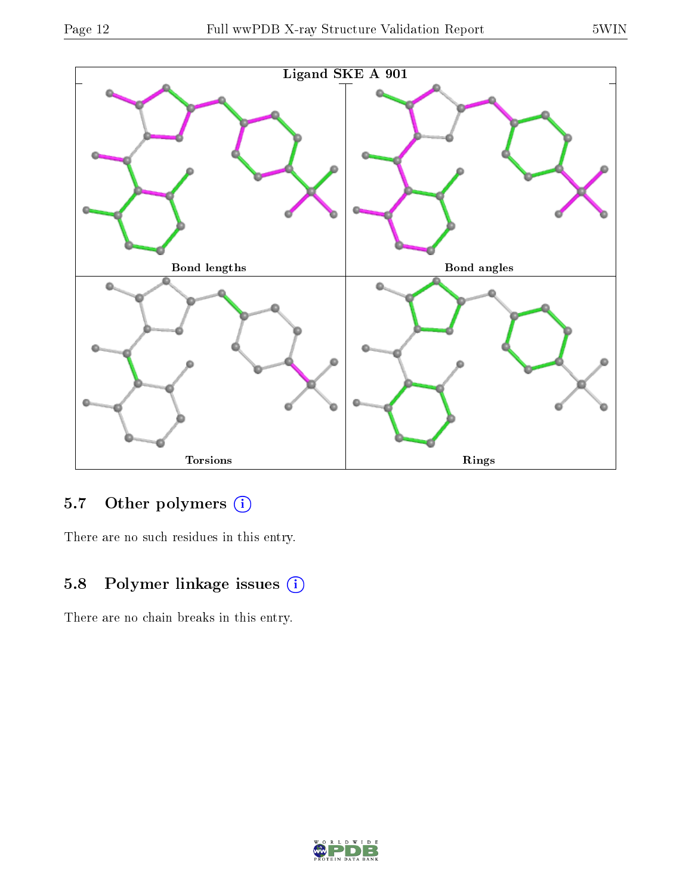

### 5.7 [O](https://www.wwpdb.org/validation/2017/XrayValidationReportHelp#nonstandard_residues_and_ligands)ther polymers (i)

There are no such residues in this entry.

## 5.8 Polymer linkage issues (i)

There are no chain breaks in this entry.

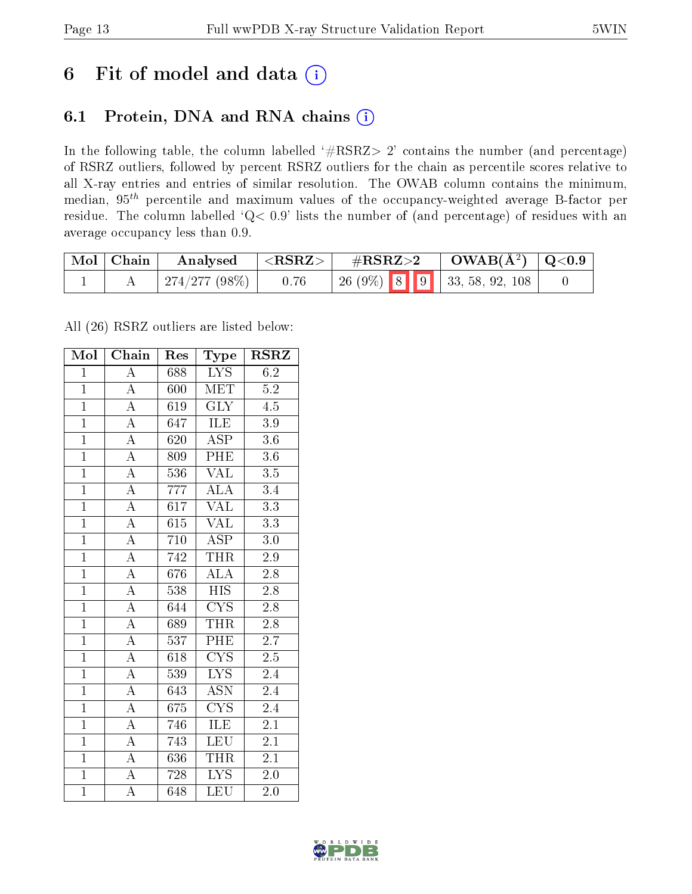## 6 Fit of model and data  $(i)$

### 6.1 Protein, DNA and RNA chains  $(i)$

In the following table, the column labelled  $#RSRZ> 2'$  contains the number (and percentage) of RSRZ outliers, followed by percent RSRZ outliers for the chain as percentile scores relative to all X-ray entries and entries of similar resolution. The OWAB column contains the minimum, median,  $95<sup>th</sup>$  percentile and maximum values of the occupancy-weighted average B-factor per residue. The column labelled ' $Q< 0.9$ ' lists the number of (and percentage) of residues with an average occupancy less than 0.9.

| $\mid$ Mol $\mid$ Chain | $\rm{Analysised}$ $ <$ $\rm{RSRZ}> $ |                                   | $\#RSRZ>2$ $\Box$ $OWAB(A^2)$ $\Box Q<0.9$ |  |
|-------------------------|--------------------------------------|-----------------------------------|--------------------------------------------|--|
|                         | $\mid$ 274/277 (98%) $\mid$ 0.76     | 26 (9%)   8   9   33, 58, 92, 108 |                                            |  |

All (26) RSRZ outliers are listed below:

| Mol            | Chain              | Res              | Type                            | <b>RSRZ</b>      |
|----------------|--------------------|------------------|---------------------------------|------------------|
| $\overline{1}$ | $\overline{A}$     | 688              | <b>LYS</b>                      | 6.2              |
| $\overline{1}$ | $\overline{A}$     | 600              | MET                             | $5.2\,$          |
| $\mathbf{1}$   | $\overline{A}$     | 619              | $\overline{\text{GLY}}$         | 4.5              |
| $\overline{1}$ | $\overline{\rm A}$ | 647              | ILE                             | $3.9\,$          |
| $\overline{1}$ | $\overline{A}$     | 620              | $\overline{\text{ASP}}$         | $\overline{3.6}$ |
| $\overline{1}$ | $\overline{\rm A}$ | 809              | PHE                             | 3.6              |
| $\overline{1}$ | $\overline{\rm A}$ | 536              | <b>VAL</b>                      | $\overline{3.5}$ |
| $\overline{1}$ | $\overline{A}$     | 777              | $\overline{ALA}$                | 3.4              |
| $\overline{1}$ | $\overline{\rm A}$ | 617              | <b>VAL</b>                      | $\overline{3.3}$ |
| $\overline{1}$ | $\overline{A}$     | 615              | <b>VAL</b>                      | $3.3\,$          |
| $\mathbf{1}$   | $\overline{\rm A}$ | 710              | <b>ASP</b>                      | 3.0              |
| $\overline{1}$ | $\overline{\rm A}$ | $\overline{742}$ | <b>THR</b>                      | 2.9              |
| $\overline{1}$ | $\overline{\rm A}$ | 676              | <b>ALA</b>                      | $2.\overline{8}$ |
| $\overline{1}$ | $\overline{A}$     | 538              | $\overline{HIS}$                | $\overline{2.8}$ |
| $\overline{1}$ | $\overline{A}$     | 644              | $\overline{\text{CYS}}$         | $\overline{2.8}$ |
| $\overline{1}$ | $\overline{A}$     | 689              | <b>THR</b>                      | 2.8              |
| $\overline{1}$ | $\overline{A}$     | 537              | <b>PHE</b>                      | $\overline{2.7}$ |
| $\overline{1}$ | $\overline{\rm A}$ | 618              | $\overline{\text{C} \text{YS}}$ | $2.5\,$          |
| $\overline{1}$ | $\overline{\rm A}$ | 539              | $\overline{\text{LYS}}$         | 2.4              |
| $\overline{1}$ | $\overline{\rm A}$ | 643              | $\overline{\text{ASN}}$         | 2.4              |
| $\overline{1}$ | $\overline{\rm A}$ | 675              | $\overline{\text{CYS}}$         | $2.\bar{4}$      |
| $\overline{1}$ | $\overline{\rm A}$ | 746              | <b>ILE</b>                      | $\overline{2.1}$ |
| $\overline{1}$ | $\boldsymbol{A}$   | 743              | LEU                             | 2.1              |
| $\overline{1}$ | $\overline{A}$     | 636              | <b>THR</b>                      | 2.1              |
| $\overline{1}$ | $\overline{\rm A}$ | 728              | $\overline{\text{LYS}}$         | 2.0              |
| $\mathbf{1}$   | A                  | 648              | $\overline{\text{LEU}}$         | 2.0              |

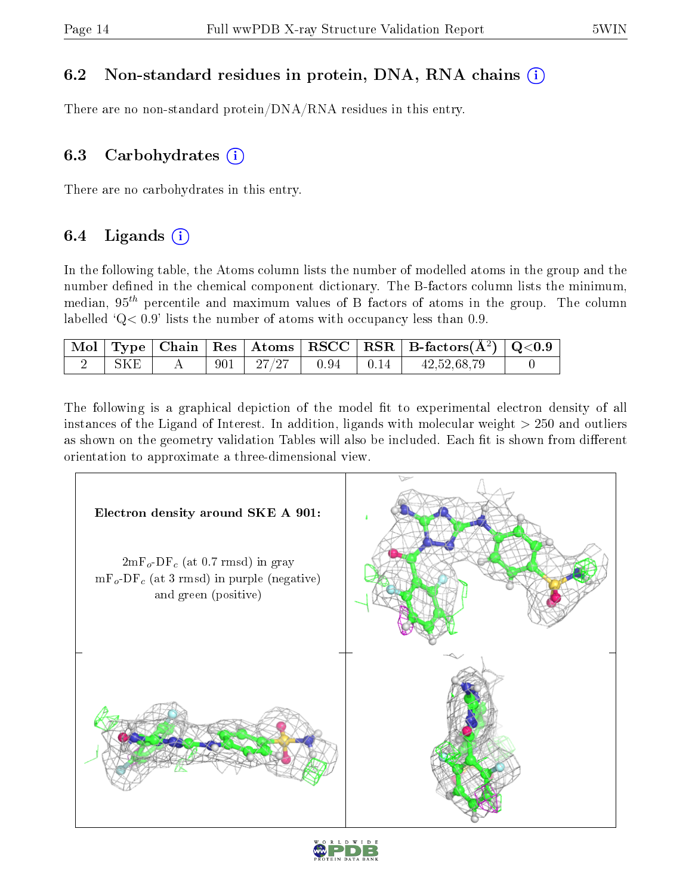### 6.2 Non-standard residues in protein, DNA, RNA chains (i)

There are no non-standard protein/DNA/RNA residues in this entry.

### 6.3 Carbohydrates  $(i)$

There are no carbohydrates in this entry.

### 6.4 Ligands  $(i)$

In the following table, the Atoms column lists the number of modelled atoms in the group and the number defined in the chemical component dictionary. The B-factors column lists the minimum, median,  $95<sup>th</sup>$  percentile and maximum values of B factors of atoms in the group. The column labelled  $Q < 0.9$ ' lists the number of atoms with occupancy less than 0.9.

|     |  |                                   |  | $\begin{array}{ c c c c c }\hline \text{Mol} & \text{Type} & \text{Chain} & \text{Res} & \text{Atoms} & \text{RSCC} & \text{RSR} & \text{B-factors}(\AA^2) & \text{Q<0.9} \\\hline \end{array}$ |  |
|-----|--|-----------------------------------|--|-------------------------------------------------------------------------------------------------------------------------------------------------------------------------------------------------|--|
| SKE |  | $901$   $27/27$   $0.94$   $0.14$ |  | 42,52,68,79                                                                                                                                                                                     |  |

The following is a graphical depiction of the model fit to experimental electron density of all instances of the Ligand of Interest. In addition, ligands with molecular weight  $> 250$  and outliers as shown on the geometry validation Tables will also be included. Each fit is shown from different orientation to approximate a three-dimensional view.